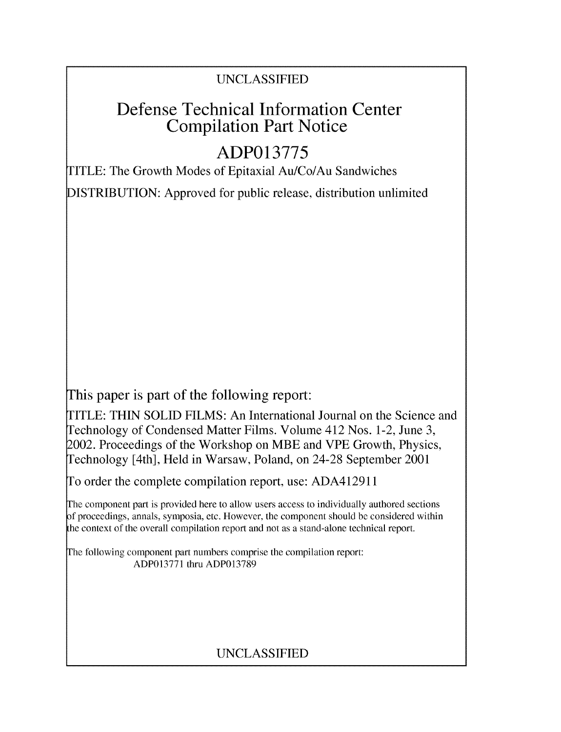### UNCLASSIFIED

## Defense Technical Information Center Compilation Part Notice

# **ADP013775**

TITLE: The Growth Modes of Epitaxial Au/Co/Au Sandwiches

DISTRIBUTION: Approved for public release, distribution unlimited

This paper is part of the following report:

TITLE: THIN SOLID FILMS: An International Journal on the Science and Technology of Condensed Matter Films. Volume 412 Nos. 1-2, June 3, 2002. Proceedings of the Workshop on MBE and VPE Growth, Physics, Technology [4th], Held in Warsaw, Poland, on 24-28 September 2001

To order the complete compilation report, use: ADA412911

The component part is provided here to allow users access to individually authored sections of proceedings, annals, symposia, etc. However, the component should be considered within the context of the overall compilation report and not as a stand-alone technical report.

The following component part numbers comprise the compilation report: ADP013771 thru ADP013789

### UNCLASSIFIED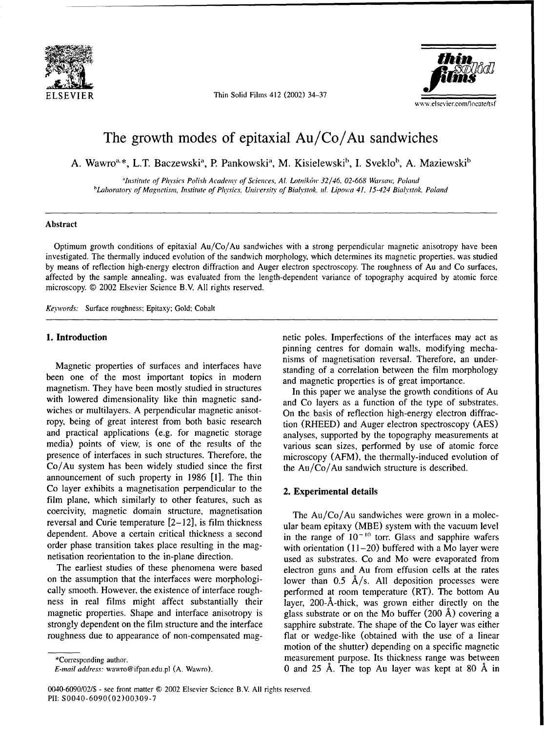

ELSEVIER Thin Solid Films 412 (2002) 34-37



## The growth modes of epitaxial Au/Co/Au sandwiches

A. Wawro<sup>a,\*</sup>, L.T. Baczewski<sup>a</sup>, P. Pankowski<sup>a</sup>, M. Kisielewski<sup>b</sup>, I. Sveklo<sup>b</sup>, A. Maziewski<sup>b</sup>

*"Institute of Physics Polish Academy of Sciences, Al. Lotnik6w 32/46, 02-668 Warsau; Poland* <sup>b</sup>Laboratory of Magnetism, Institute of Physics, University of Bialystok, ul. Lipowa 41, 15-424 Bialystok, Poland

### Abstract

Optimum growth conditions of epitaxial Au/Co/Au sandwiches with a strong perpendicular magnetic anisotropy have been investigated. The thermally induced evolution of the sandwich morphology, which determines its magnetic properties. was studied by means of reflection high-energy electron diffraction and Auger electron spectroscopy. The roughness of Au and Co surfaces, affected by the sample annealing, was evaluated from the length-dependent variance of topography acquired by atomic force microscopy. © 2002 Elsevier Science B.V. All rights reserved.

*Keywords:* Surface roughness; Epitaxy; Gold: Cobalt

been one of the most important topics in modern and magnetic properties is of great importance. magnetism. They have been mostly studied in structures In this paper we analyse the growth conditions of Au with lowered dimensionality like thin magnetic sand-<br>and Co layers as a function of the type of substrates. wiches or multilayers. A perpendicular magnetic anisot-<br>On the basis of reflection high-energy electron diffracropy, being of great interest from both basic research tion (RHEED) and Auger electron spectroscopy (AES) and practical applications (e.g. for magnetic storage analyses, supported by the topography measurements at media) points of view, is one of the results of the various scan sizes, performed by use of atomic force presence of interfaces in such structures. Therefore, the microscopy (AFM), the thermally-induced evolution of  $Co/Au$  system has been widely studied since the first the Au/ $Co/Au$  sandwich structure is described. announcement of such property in 1986 **[1].** The thin Co layer exhibits a magnetisation perpendicular to the 2. Experimental details film plane, which similarly to other features, such as coercivity, magnetic domain structure, magnetisation The Au/Co/Au sandwiches were grown in a molecreversal and Curie temperature [2-12], is film thickness ular beam epitaxy (MBE) system with the vacuum level dependent. Above a certain critical thickness a second in the range of  $10^{-10}$  torr. Glass and sapphire wafers order phase transition takes place resulting in the mag-<br>with orientation (11-20) buffered with a Mo layer were

on the assumption that the interfaces were morphologi-<br>lower than  $0.5$   $\rm \AA/s$ . All deposition processes were cally smooth. However, the existence of interface rough-<br>performed at room temperature (RT). The bottom Au ness in real films might affect substantially their layer, 200-Å-thick, was grown either directly on the magnetic properties. Shape and interface anisotropy is glass substrate or on the Mo buffer (200 **A)** covering a strongly dependent on the film structure and the interface sapphire substrate. The shape of the Co layer was either roughness due to appearance of non-compensated mag- flat or wedge-like (obtained with the use of a linear

**1. Introduction 1. Introduction 1. Introduction netic poles. Imperfections of the interfaces may act as** pinning centres for domain walls, modifying mechanisms of magnetisation reversal. Therefore, an under-Magnetic properties of surfaces and interfaces have standing of a correlation between the film morphology

netisation reorientation to the in-plane direction. used as substrates. Co and Mo were evaporated from The earliest studies of these phenomena were based electron guns and Au from effusion cells at the rates motion of the shutter) depending on a specific magnetic \*Corresponding author. **measurement purpose.** Its thickness range was between *E-mail address:* wawro@ifpan.edu.pl (A. Wawro). 0 and 25 **A.** The top Au layer was kept at 80 **A** in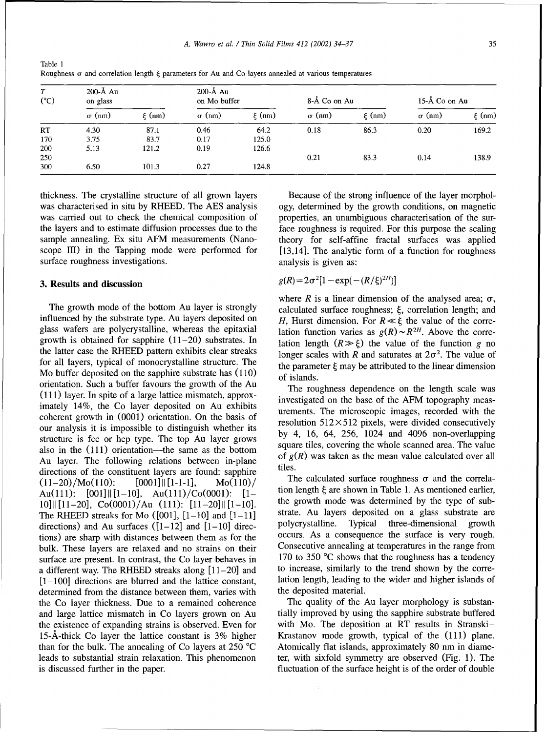*A. Wawro et al. / Thin Solid Films 412 (2002) 34-37* 35

| T<br>$(^{\circ}C)$ | $200-A$ Au<br>on glass |            | 200-Å Au<br>on Mo buffer |            | 8-Å Co on Au  |            | $15-\AA$ Co on Au |            |
|--------------------|------------------------|------------|--------------------------|------------|---------------|------------|-------------------|------------|
|                    | $\sigma$ (nm)          | $\xi$ (nm) | $\sigma$ (nm)            | $\xi$ (nm) | $\sigma$ (nm) | $\xi$ (nm) | $\sigma$ (nm)     | $\xi$ (nm) |
| RT                 | 4.30                   | 87.1       | 0.46                     | 64.2       | 0.18          | 86.3       | 0.20              | 169.2      |
| 170                | 3.75                   | 83.7       | 0.17                     | 125.0      |               |            |                   |            |
| 200                | 5.13                   | 121.2      | 0.19                     | 126.6      |               |            |                   |            |
| 250                |                        |            |                          |            | 0.21          | 83.3       | 0.14              | 138.9      |
| 300                | 6.50                   | 101.3      | 0.27                     | 124.8      |               |            |                   |            |

Table 1 Roughness  $\sigma$  and correlation length  $\xi$  parameters for Au and Co layers annealed at various temperatures

was characterised in situ by RHEED. The AES analysis ogy, determined by the growth conditions, on magnetic was carried out to check the chemical composition of properties, an unambiguous characterisation of the surthe layers and to estimate diffusion processes due to the face roughness is required. For this purpose the scaling sample annealing. Ex situ AFM measurements (Nano- theory for self-affine fractal surfaces was applied scope III) in the Tapping mode were performed for  $[13,14]$ . The analytic form of a function for roughness surface roughness investigations. The analysis is given as:

### 3. Results and discussion

influenced by the substrate type. Au layers deposited on  $H$ , Hurst dimension. For  $R \ll \xi$  the value of the correglass wafers are polycrystalline, whereas the epitaxial growth is obtained for sapphire (11-20) substrates. In lation length  $(R \gg \xi)$  the value of the function g no the latter case the RHEED pattern exhibits clear streaks longer scales with R and saturates at  $2\sigma^2$ . The value of for all layers, typical of monocrystalline structure. The the parameter  $\xi$  may be attributed to the linear dimension Mo buffer deposited on the sapphire substrate has  $(110)$  of islands. orientation. Such a buffer favours the growth of the Au The roughness dependence on the length scale was (111) layer. In spite of a large lattice mismatch, approx- investigated on the base of the AFM topography measimately 14%, the Co layer deposited on Au exhibits urements. The microscopic images, recorded with the coherent growth in  $(0001)$  orientation. On the basis of resolution  $512 \times 512$  pixels, were divided consecutively our analysis it is impossible to distinguish whether its by 4, 16, 64, 256, 1024 and 4096 non-overlapping structure is fcc or hcp type. The top Au layer grows  $\frac{dy}{dx}$ , 16, 04, 256, 1024 and 4096 non-overlapping square tiles, covering the whole scanned area. The value also in the (111) orientation—the same as the bottom square tiles, covering the whole scanned area. The value Au layer. The following relations between in-plane <sup>of *g(m)* tiles.</sup> directions of the constituent layers are found: sapphire. (11-20)/Mo(110):  $[0001] \parallel [1-1-1]$ ,  $Mo(110)$ / The calculated surface roughness  $\sigma$  and the correla-<br>Au(111):  $[0.01] \parallel [1-1-1]$ ,  $Mo(110)$ /  $[1-$  tion length  $\xi$  are shown in Table 1. As mentioned earlier, Au(111):  $[001] \parallel [1-10]$ , Au(111)/Co(0001):  $[1-$  tion length  $\xi$  are shown in Table 1. As mentioned earlier,<br>10] [[11-20] Co(0001)/Au (111): [11-20] [[1-10] the growth mode was determined by the type of sub- $10\| [11-20]$ , Co(0001)/Au (111):  $[11-20] \| [1-10]$ . The growth mode was determined by the type of sub-<br>The RHEED streaks for Mo ([001]  $[1-10]$  and  $[1-11]$  strate. Au layers deposited on a glass substrate are The RHEED streaks for Mo  $(001]$ ,  $[1-10]$  and  $[1-11]$  strate. Au layers deposited on a glass substrate are redirections) and Au surfaces  $(1-12)$  and  $[1-10]$  directions in a substrate are polycrystalline. Typical three directions) and Au surfaces  $([1-12]$  and  $[1-10]$  direc-<br>tions) are sharp with distances between them as for the cocurs. As a consequence the surface is very rough. tions) are sharp with distances between them as for the occurs. As a consequence the surface is very rough.<br>
bulk, These layers are relaxed and no strains on their Consecutive annealing at temperatures in the range from bulk. These layers are relaxed and no strains on their Consecutive annealing at temperatures in the range from surface are present. In contrast, the Co layer behaves in 170 to 350 °C shows that the roughness has a tendency surface are present. In contrast, the Co layer behaves in  $170$  to 350 °C shows that the roughness has a tendency a different way The RHEED streaks along  $[11-20]$  and to increase, similarly to the trend shown by the corr a different way. The RHEED streaks along  $[11-20]$  and to increase, similarly to the trend shown by the corre-<br> $[1-100]$  directions are blurred and the lattice constant. lation length, leading to the wider and higher isla  $[1-100]$  directions are blurred and the lattice constant, determined from the distance between them, varies with the deposited material. the Co layer thickness. Due to a remained coherence The quality of the Au layer morphology is substanand large lattice mismatch in Co layers grown on Au tially improved by using the sapphire substrate buffered the existence of expanding strains is observed. Even for with Mo. The deposition at RT results in Stranski-15-A-thick Co layer the lattice constant is 3% higher Krastanov mode growth, typical of the (111) plane. than for the bulk. The annealing of Co layers at 250 °C Atomically flat islands, approximately 80 nm in diameleads to substantial strain relaxation. This phenomenon ter, with sixfold symmetry are observed (Fig. 1). The is discussed further in the paper. fluctuation of the surface height is of the order of double

thickness. The crystalline structure of all grown layers Because of the strong influence of the layer morphol-

$$
g(R) = 2\sigma^2 [1 - \exp(-(R/\xi)^{2H})]
$$

where R is a linear dimension of the analysed area;  $\sigma$ , The growth mode of the bottom Au layer is strongly calculated surface roughness;  $\xi$ , correlation length; and lation function varies as  $g(R) \sim R^{2H}$ . Above the corre-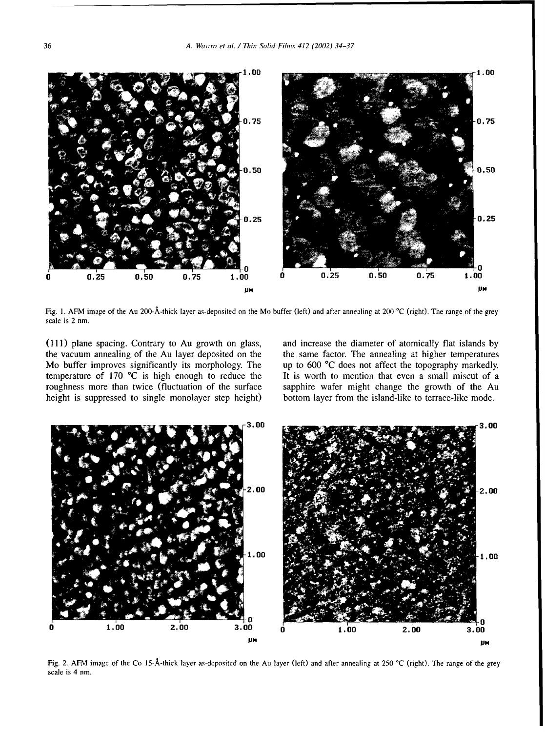

Fig. 1. AFM image of the Au 200-A-thick layer as-deposited on the Mo buffer (left) and after annealing at 200 °C (right). The range of the grey scale is 2 nm.

height is suppressed to single monolayer step height) bottom layer from the island-like to terrace-like mode.

**(111)** plane spacing. Contrary to Au growth on glass, and increase the diameter of atomically flat islands by the vacuum annealing of the Au layer deposited on the the same factor. The annealing at higher temperatures Mo buffer improves significantly its morphology. The up to 600 °C does not affect the topography markedly. temperature of 170  $\degree$ C is high enough to reduce the It is worth to mention that even a small miscut of a roughness more than twice (fluctuation of the surface sapphire wafer might change the growth of the Au



Fig. 2. AFM image of the Co 15-A-thick layer as-deposited on the Au layer (left) and after annealing at 250 **'C** (right). The range of the grey scale is 4 nm.